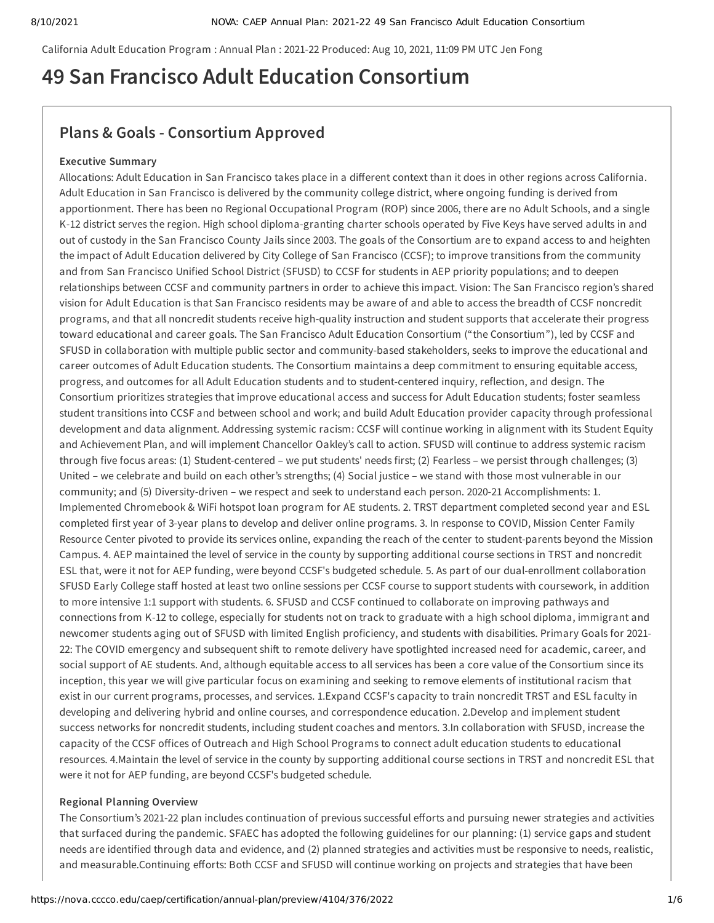California Adult Education Program : Annual Plan : 2021-22 Produced: Aug 10, 2021, 11:09 PM UTC Jen Fong

# **49 San Francisco Adult Education Consortium**

# **Plans & Goals - Consortium Approved**

## **Executive Summary**

Allocations: Adult Education in San Francisco takes place in a different context than it does in other regions across California. Adult Education in San Francisco is delivered by the community college district, where ongoing funding is derived from apportionment. There has been no Regional Occupational Program (ROP) since 2006, there are no Adult Schools, and a single K-12 district serves the region. High school diploma-granting charter schools operated by Five Keys have served adults in and out of custody in the San Francisco County Jails since 2003. The goals of the Consortium are to expand access to and heighten the impact of Adult Education delivered by City College of San Francisco (CCSF); to improve transitions from the community and from San Francisco Unified School District (SFUSD) to CCSF for students in AEP priority populations; and to deepen relationships between CCSF and community partners in order to achieve this impact. Vision: The San Francisco region's shared vision for Adult Education is that San Francisco residents may be aware of and able to access the breadth of CCSF noncredit programs, and that all noncredit students receive high-quality instruction and student supports that accelerate their progress toward educational and career goals. The San Francisco Adult Education Consortium ("the Consortium"), led by CCSF and SFUSD in collaboration with multiple public sector and community-based stakeholders, seeks to improve the educational and career outcomes of Adult Education students. The Consortium maintains a deep commitment to ensuring equitable access, progress, and outcomes for all Adult Education students and to student-centered inquiry, reflection, and design. The Consortium prioritizes strategies that improve educational access and success for Adult Education students; foster seamless student transitions into CCSF and between school and work; and build Adult Education provider capacity through professional development and data alignment. Addressing systemic racism: CCSF will continue working in alignment with its Student Equity and Achievement Plan, and will implement Chancellor Oakley's call to action. SFUSD will continue to address systemic racism through five focus areas: (1) Student-centered – we put students' needs first; (2) Fearless – we persist through challenges; (3) United – we celebrate and build on each other's strengths; (4) Social justice – we stand with those most vulnerable in our community; and (5) Diversity-driven – we respect and seek to understand each person. 2020-21 Accomplishments: 1. Implemented Chromebook & WiFi hotspot loan program for AE students. 2. TRST department completed second year and ESL completed first year of 3-year plans to develop and deliver online programs. 3. In response to COVID, Mission Center Family Resource Center pivoted to provide its services online, expanding the reach of the center to student-parents beyond the Mission Campus. 4. AEP maintained the level of service in the county by supporting additional course sections in TRST and noncredit ESL that, were it not for AEP funding, were beyond CCSF's budgeted schedule. 5. As part of our dual-enrollment collaboration SFUSD Early College staff hosted at least two online sessions per CCSF course to support students with coursework, in addition to more intensive 1:1 support with students. 6. SFUSD and CCSF continued to collaborate on improving pathways and connections from K-12 to college, especially for students not on track to graduate with a high school diploma, immigrant and newcomer students aging out of SFUSD with limited English proficiency, and students with disabilities. Primary Goals for 2021- 22: The COVID emergency and subsequent shift to remote delivery have spotlighted increased need for academic, career, and social support of AE students. And, although equitable access to all services has been a core value of the Consortium since its inception, this year we will give particular focus on examining and seeking to remove elements of institutional racism that exist in our current programs, processes, and services. 1.Expand CCSF's capacity to train noncredit TRST and ESL faculty in developing and delivering hybrid and online courses, and correspondence education. 2.Develop and implement student success networks for noncredit students, including student coaches and mentors. 3.In collaboration with SFUSD, increase the capacity of the CCSF offices of Outreach and High School Programs to connect adult education students to educational resources. 4.Maintain the level of service in the county by supporting additional course sections in TRST and noncredit ESL that were it not for AEP funding, are beyond CCSF's budgeted schedule.

### **Regional Planning Overview**

The Consortium's 2021-22 plan includes continuation of previous successful efforts and pursuing newer strategies and activities that surfaced during the pandemic. SFAEC has adopted the following guidelines for our planning: (1) service gaps and student needs are identified through data and evidence, and (2) planned strategies and activities must be responsive to needs, realistic, and measurable.Continuing efforts: Both CCSF and SFUSD will continue working on projects and strategies that have been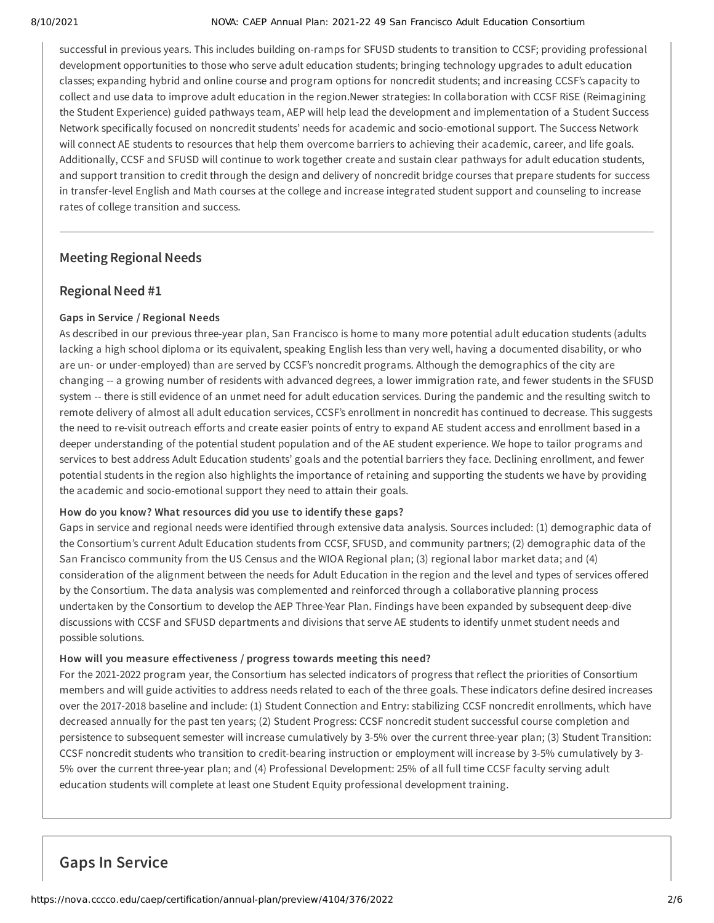### 8/10/2021 NOVA: CAEP Annual Plan: 2021-22 49 San Francisco Adult Education Consortium

successful in previous years. This includes building on-ramps for SFUSD students to transition to CCSF; providing professional development opportunities to those who serve adult education students; bringing technology upgrades to adult education classes; expanding hybrid and online course and program options for noncredit students; and increasing CCSF's capacity to collect and use data to improve adult education in the region.Newer strategies: In collaboration with CCSF RiSE (Reimagining the Student Experience) guided pathways team, AEP will help lead the development and implementation of a Student Success Network specifically focused on noncredit students' needs for academic and socio-emotional support. The Success Network will connect AE students to resources that help them overcome barriers to achieving their academic, career, and life goals. Additionally, CCSF and SFUSD will continue to work together create and sustain clear pathways for adult education students, and support transition to credit through the design and delivery of noncredit bridge courses that prepare students for success in transfer-level English and Math courses at the college and increase integrated student support and counseling to increase rates of college transition and success.

# **Meeting Regional Needs**

# **Regional Need #1**

# **Gaps in Service / Regional Needs**

As described in our previous three-year plan, San Francisco is home to many more potential adult education students (adults lacking a high school diploma or its equivalent, speaking English less than very well, having a documented disability, or who are un- or under-employed) than are served by CCSF's noncredit programs. Although the demographics of the city are changing -- a growing number of residents with advanced degrees, a lower immigration rate, and fewer students in the SFUSD system -- there is still evidence of an unmet need for adult education services. During the pandemic and the resulting switch to remote delivery of almost all adult education services, CCSF's enrollment in noncredit has continued to decrease. This suggests the need to re-visit outreach efforts and create easier points of entry to expand AE student access and enrollment based in a deeper understanding of the potential student population and of the AE student experience. We hope to tailor programs and services to best address Adult Education students' goals and the potential barriers they face. Declining enrollment, and fewer potential students in the region also highlights the importance of retaining and supporting the students we have by providing the academic and socio-emotional support they need to attain their goals.

## **How do you know? What resources did you use to identify these gaps?**

Gaps in service and regional needs were identified through extensive data analysis. Sources included: (1) demographic data of the Consortium's current Adult Education students from CCSF, SFUSD, and community partners; (2) demographic data of the San Francisco community from the US Census and the WIOA Regional plan; (3) regional labor market data; and (4) consideration of the alignment between the needs for Adult Education in the region and the level and types of services offered by the Consortium. The data analysis was complemented and reinforced through a collaborative planning process undertaken by the Consortium to develop the AEP Three-Year Plan. Findings have been expanded by subsequent deep-dive discussions with CCSF and SFUSD departments and divisions that serve AE students to identify unmet student needs and possible solutions.

## **How will you measure effectiveness / progress towards meeting this need?**

For the 2021-2022 program year, the Consortium has selected indicators of progress that reflect the priorities of Consortium members and will guide activities to address needs related to each of the three goals. These indicators define desired increases over the 2017-2018 baseline and include: (1) Student Connection and Entry: stabilizing CCSF noncredit enrollments, which have decreased annually for the past ten years; (2) Student Progress: CCSF noncredit student successful course completion and persistence to subsequent semester will increase cumulatively by 3-5% over the current three-year plan; (3) Student Transition: CCSF noncredit students who transition to credit-bearing instruction or employment will increase by 3-5% cumulatively by 3- 5% over the current three-year plan; and (4) Professional Development: 25% of all full time CCSF faculty serving adult education students will complete at least one Student Equity professional development training.

# **Gaps In Service**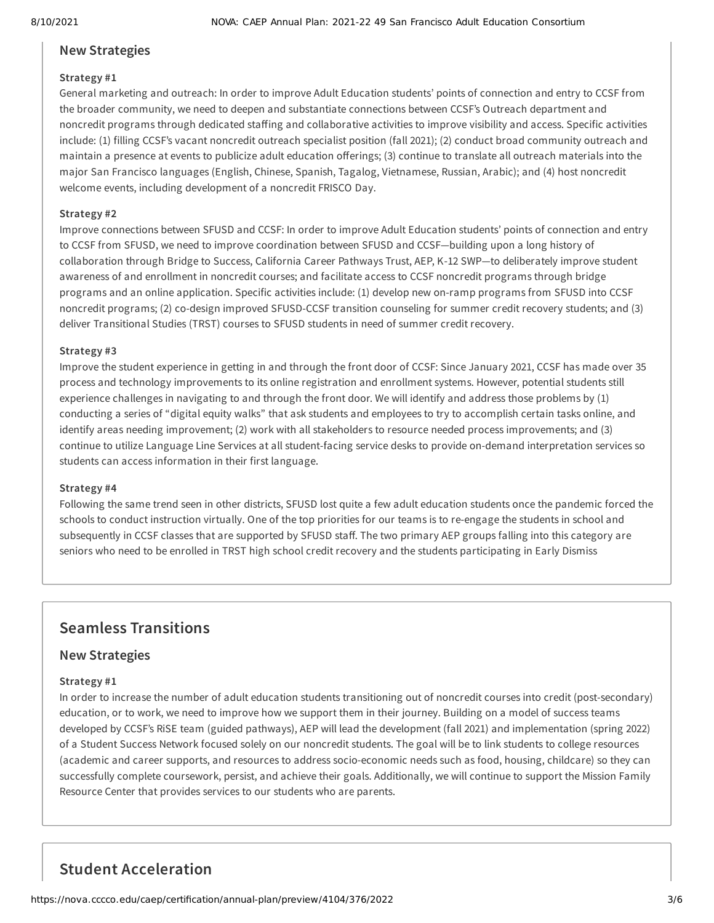# **New Strategies**

## **Strategy #1**

General marketing and outreach: In order to improve Adult Education students' points of connection and entry to CCSF from the broader community, we need to deepen and substantiate connections between CCSF's Outreach department and noncredit programs through dedicated staffing and collaborative activities to improve visibility and access. Specific activities include: (1) filling CCSF's vacant noncredit outreach specialist position (fall 2021); (2) conduct broad community outreach and maintain a presence at events to publicize adult education offerings; (3) continue to translate all outreach materials into the major San Francisco languages (English, Chinese, Spanish, Tagalog, Vietnamese, Russian, Arabic); and (4) host noncredit welcome events, including development of a noncredit FRISCO Day.

## **Strategy #2**

Improve connections between SFUSD and CCSF: In order to improve Adult Education students' points of connection and entry to CCSF from SFUSD, we need to improve coordination between SFUSD and CCSF—building upon a long history of collaboration through Bridge to Success, California Career Pathways Trust, AEP, K-12 SWP—to deliberately improve student awareness of and enrollment in noncredit courses; and facilitate access to CCSF noncredit programs through bridge programs and an online application. Specific activities include: (1) develop new on-ramp programs from SFUSD into CCSF noncredit programs; (2) co-design improved SFUSD-CCSF transition counseling for summer credit recovery students; and (3) deliver Transitional Studies (TRST) courses to SFUSD students in need of summer credit recovery.

## **Strategy #3**

Improve the student experience in getting in and through the front door of CCSF: Since January 2021, CCSF has made over 35 process and technology improvements to its online registration and enrollment systems. However, potential students still experience challenges in navigating to and through the front door. We will identify and address those problems by (1) conducting a series of "digital equity walks" that ask students and employees to try to accomplish certain tasks online, and identify areas needing improvement; (2) work with all stakeholders to resource needed process improvements; and (3) continue to utilize Language Line Services at all student-facing service desks to provide on-demand interpretation services so students can access information in their first language.

## **Strategy #4**

Following the same trend seen in other districts, SFUSD lost quite a few adult education students once the pandemic forced the schools to conduct instruction virtually. One of the top priorities for our teams is to re-engage the students in school and subsequently in CCSF classes that are supported by SFUSD staff. The two primary AEP groups falling into this category are seniors who need to be enrolled in TRST high school credit recovery and the students participating in Early Dismiss

# **Seamless Transitions**

# **New Strategies**

## **Strategy #1**

In order to increase the number of adult education students transitioning out of noncredit courses into credit (post-secondary) education, or to work, we need to improve how we support them in their journey. Building on a model of success teams developed by CCSF's RiSE team (guided pathways), AEP will lead the development (fall 2021) and implementation (spring 2022) of a Student Success Network focused solely on our noncredit students. The goal will be to link students to college resources (academic and career supports, and resources to address socio-economic needs such as food, housing, childcare) so they can successfully complete coursework, persist, and achieve their goals. Additionally, we will continue to support the Mission Family Resource Center that provides services to our students who are parents.

# **Student Acceleration**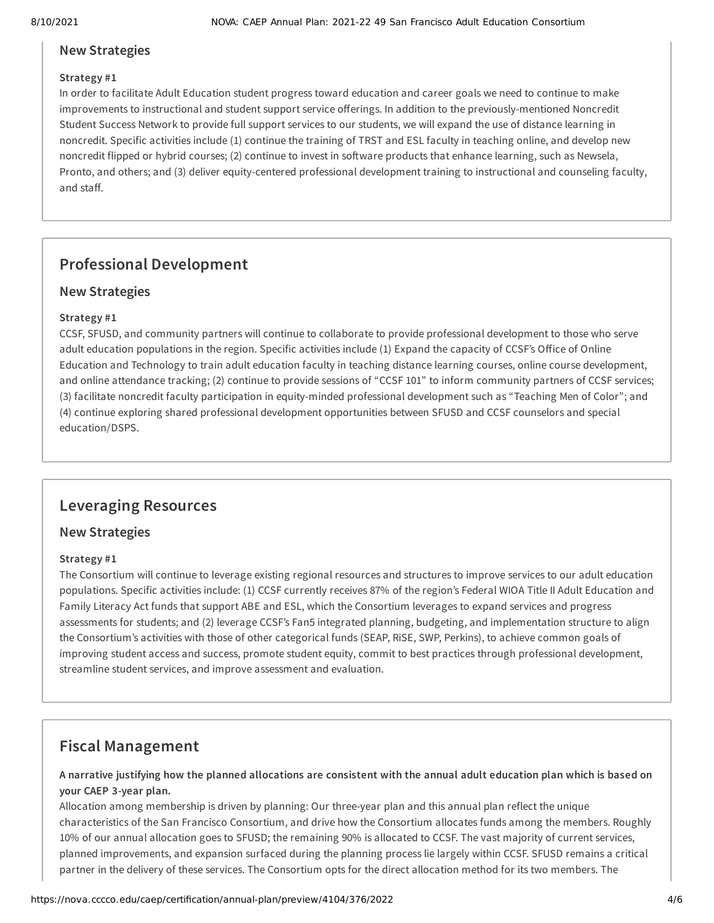# **New Strategies**

## **Strategy #1**

In order to facilitate Adult Education student progress toward education and career goals we need to continue to make improvements to instructional and student support service offerings. In addition to the previously-mentioned Noncredit Student Success Network to provide full support services to our students, we will expand the use of distance learning in noncredit. Specific activities include (1) continue the training of TRST and ESL faculty in teaching online, and develop new noncredit flipped or hybrid courses; (2) continue to invest in software products that enhance learning, such as Newsela, Pronto, and others; and (3) deliver equity-centered professional development training to instructional and counseling faculty, and staff.

# **Professional Development**

# **New Strategies**

# **Strategy #1**

CCSF, SFUSD, and community partners will continue to collaborate to provide professional development to those who serve adult education populations in the region. Specific activities include (1) Expand the capacity of CCSF's Office of Online Education and Technology to train adult education faculty in teaching distance learning courses, online course development, and online attendance tracking; (2) continue to provide sessions of "CCSF 101" to inform community partners of CCSF services; (3) facilitate noncredit faculty participation in equity-minded professional development such as "Teaching Men of Color"; and (4) continue exploring shared professional development opportunities between SFUSD and CCSF counselors and special education/DSPS.

# **Leveraging Resources**

# **New Strategies**

## **Strategy #1**

The Consortium will continue to leverage existing regional resources and structures to improve services to our adult education populations. Specific activities include: (1) CCSF currently receives 87% of the region's Federal WIOA Title II Adult Education and Family Literacy Act funds that support ABE and ESL, which the Consortium leverages to expand services and progress assessments for students; and (2) leverage CCSF's Fan5 integrated planning, budgeting, and implementation structure to align the Consortium's activities with those of other categorical funds (SEAP, RiSE, SWP, Perkins), to achieve common goals of improving student access and success, promote student equity, commit to best practices through professional development, streamline student services, and improve assessment and evaluation.

# **Fiscal Management**

A narrative justifying how the planned allocations are consistent with the annual adult education plan which is based on **your CAEP 3-year plan.**

Allocation among membership is driven by planning: Our three-year plan and this annual plan reflect the unique characteristics of the San Francisco Consortium, and drive how the Consortium allocates funds among the members. Roughly 10% of our annual allocation goes to SFUSD; the remaining 90% is allocated to CCSF. The vast majority of current services, planned improvements, and expansion surfaced during the planning process lie largely within CCSF. SFUSD remains a critical partner in the delivery of these services. The Consortium opts for the direct allocation method for its two members. The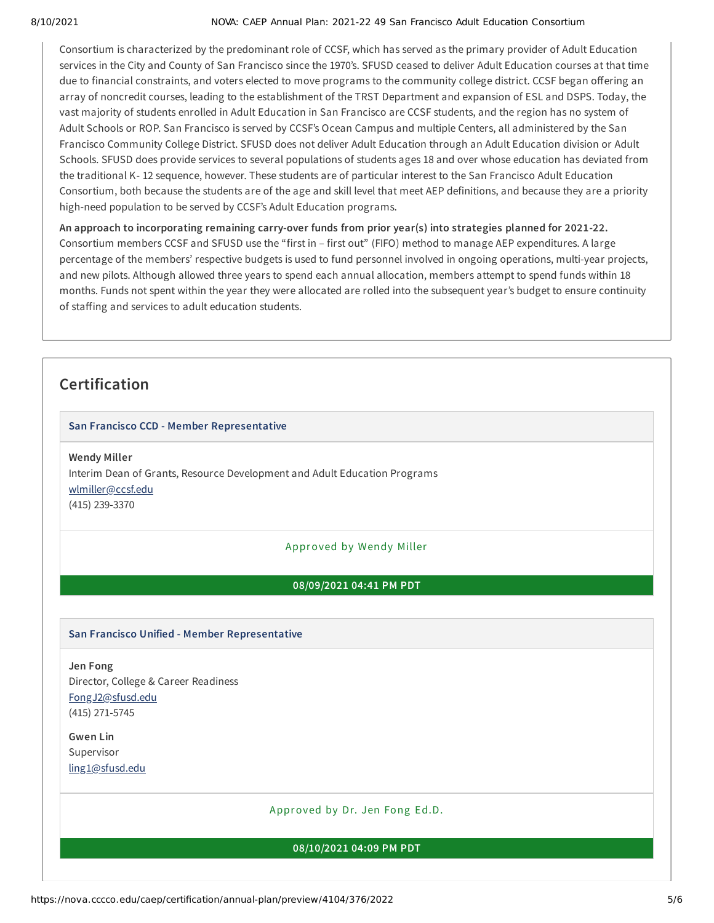### 8/10/2021 NOVA: CAEP Annual Plan: 2021-22 49 San Francisco Adult Education Consortium

Consortium is characterized by the predominant role of CCSF, which has served as the primary provider of Adult Education services in the City and County of San Francisco since the 1970's. SFUSD ceased to deliver Adult Education courses at that time due to financial constraints, and voters elected to move programs to the community college district. CCSF began offering an array of noncredit courses, leading to the establishment of the TRST Department and expansion of ESL and DSPS. Today, the vast majority of students enrolled in Adult Education in San Francisco are CCSF students, and the region has no system of Adult Schools or ROP. San Francisco is served by CCSF's Ocean Campus and multiple Centers, all administered by the San Francisco Community College District. SFUSD does not deliver Adult Education through an Adult Education division or Adult Schools. SFUSD does provide services to several populations of students ages 18 and over whose education has deviated from the traditional K- 12 sequence, however. These students are of particular interest to the San Francisco Adult Education Consortium, both because the students are of the age and skill level that meet AEP definitions, and because they are a priority high-need population to be served by CCSF's Adult Education programs.

**An approach to incorporating remaining carry-over funds from prior year(s) into strategies planned for 2021-22.** Consortium members CCSF and SFUSD use the "first in – first out" (FIFO) method to manage AEP expenditures. A large percentage of the members' respective budgets is used to fund personnel involved in ongoing operations, multi-year projects, and new pilots. Although allowed three years to spend each annual allocation, members attempt to spend funds within 18 months. Funds not spent within the year they were allocated are rolled into the subsequent year's budget to ensure continuity of staffing and services to adult education students.

# **Certification**

## **San Francisco CCD - Member Representative**

**Wendy Miller** Interim Dean of Grants, Resource Development and Adult Education Programs [wlmiller@ccsf.edu](mailto:wlmiller@ccsf.edu) (415) 239-3370

## Approved by Wendy Miller

## **08/09/2021 04:41 PM PDT**

## **San Francisco Unified - Member Representative**

**Jen Fong** Director, College & Career Readiness [FongJ2@sfusd.edu](mailto:FongJ2@sfusd.edu) (415) 271-5745

**Gwen Lin** Supervisor [ling1@sfusd.edu](mailto:ling1@sfusd.edu)

Approved by Dr. Jen Fong Ed.D.

### **08/10/2021 04:09 PM PDT**